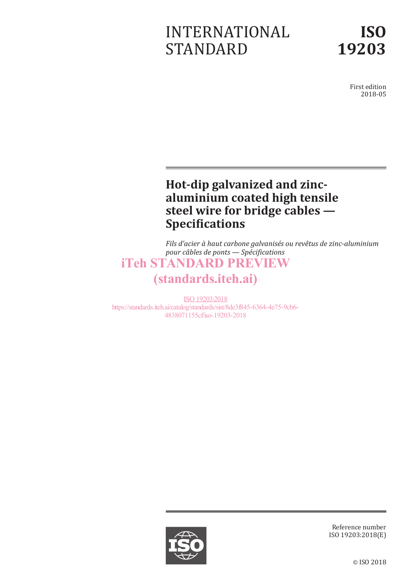# INTERNATIONAL STANDARD

First edition 2018-05

## **Hot-dip galvanized and zincaluminium coated high tensile steel wire for bridge cables — Specifications**

*Fils d'acier à haut carbone galvanisés ou revêtus de zinc-aluminium pour câbles de ponts — Spécifications*

# iTeh STANDARD PREVIEW

## (standards.iteh.ai)

ISO 19203:2018 https://standards.iteh.ai/catalog/standards/sist/8de3f845-6364-4e75-9cb6- 4838071155cf/iso-19203-2018



Reference number ISO 19203:2018(E)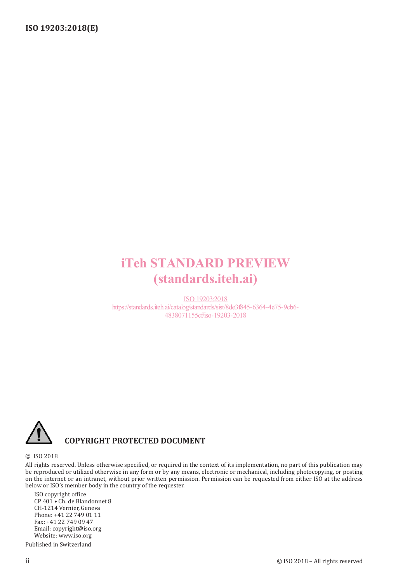# iTeh STANDARD PREVIEW (standards.iteh.ai)

ISO 19203:2018 https://standards.iteh.ai/catalog/standards/sist/8de3f845-6364-4e75-9cb6- 4838071155cf/iso-19203-2018



### **COPYRIGHT PROTECTED DOCUMENT**

#### © ISO 2018

All rights reserved. Unless otherwise specified, or required in the context of its implementation, no part of this publication may be reproduced or utilized otherwise in any form or by any means, electronic or mechanical, including photocopying, or posting on the internet or an intranet, without prior written permission. Permission can be requested from either ISO at the address below or ISO's member body in the country of the requester.

ISO copyright office CP 401 • Ch. de Blandonnet 8 CH-1214 Vernier, Geneva Phone: +41 22 749 01 11 Fax: +41 22 749 09 47 Email: copyright@iso.org Website: www.iso.org

Published in Switzerland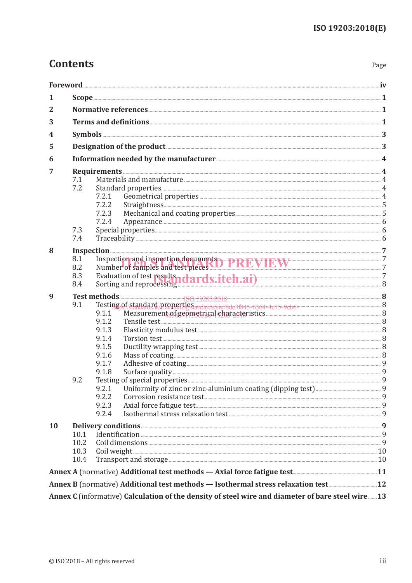Page

### **Contents**

| 1  |                                                                         |                                                                                                                                                                                                                                                                                                                                           |  |  |  |  |  |
|----|-------------------------------------------------------------------------|-------------------------------------------------------------------------------------------------------------------------------------------------------------------------------------------------------------------------------------------------------------------------------------------------------------------------------------------|--|--|--|--|--|
| 2  |                                                                         |                                                                                                                                                                                                                                                                                                                                           |  |  |  |  |  |
| 3  |                                                                         |                                                                                                                                                                                                                                                                                                                                           |  |  |  |  |  |
| 4  |                                                                         |                                                                                                                                                                                                                                                                                                                                           |  |  |  |  |  |
| 5  | Designation of the product 33                                           |                                                                                                                                                                                                                                                                                                                                           |  |  |  |  |  |
| 6  | Information needed by the manufacturer <b>Energy and Service 2016</b> 4 |                                                                                                                                                                                                                                                                                                                                           |  |  |  |  |  |
| 7  |                                                                         |                                                                                                                                                                                                                                                                                                                                           |  |  |  |  |  |
|    | 7.1<br>7.2<br>7.3<br>7.4                                                | 7.2.1<br>7.2.2<br>7.2.3<br>7.2.4<br>Appearance 6                                                                                                                                                                                                                                                                                          |  |  |  |  |  |
| 8  |                                                                         | Inspection 7                                                                                                                                                                                                                                                                                                                              |  |  |  |  |  |
|    | 8.1<br>8.2<br>8.3<br>8.4                                                | Inspection and inspection documents<br>Number of samples and test pieces<br>7<br>Evaluation of test results adards.itch.ai) Sorting and reprocessing 8                                                                                                                                                                                    |  |  |  |  |  |
| 9  |                                                                         |                                                                                                                                                                                                                                                                                                                                           |  |  |  |  |  |
|    | 9.1<br>9.2                                                              | Testing of standard properties and archives and the Standard State of the Standard State of the Standard Standard Standard Standard Standard Standard Standard Standard Standard Standard Standard Standard Standard Standard<br>9.1.1<br>9.1.2<br>9.1.3<br>9.1.4<br>9.1.5<br>9.1.6<br>9.1.7<br>9.1.8<br>9.2.1<br>9.2.2<br>9.2.3<br>9.2.4 |  |  |  |  |  |
| 10 | 10.1                                                                    |                                                                                                                                                                                                                                                                                                                                           |  |  |  |  |  |
|    | 10.2<br>10.3<br>10.4                                                    |                                                                                                                                                                                                                                                                                                                                           |  |  |  |  |  |
|    |                                                                         |                                                                                                                                                                                                                                                                                                                                           |  |  |  |  |  |
|    |                                                                         |                                                                                                                                                                                                                                                                                                                                           |  |  |  |  |  |
|    |                                                                         | Annex C (informative) Calculation of the density of steel wire and diameter of bare steel wire13                                                                                                                                                                                                                                          |  |  |  |  |  |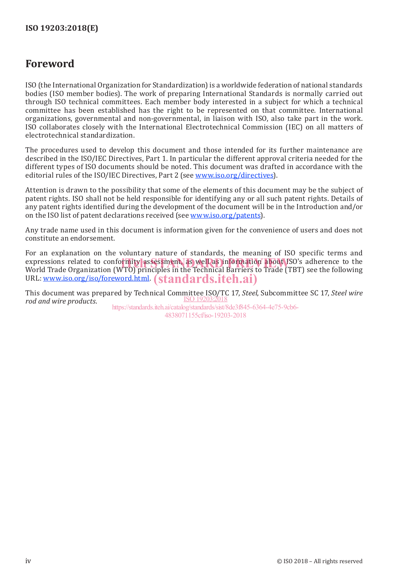### **Foreword**

ISO (the International Organization for Standardization) is a worldwide federation of national standards bodies (ISO member bodies). The work of preparing International Standards is normally carried out through ISO technical committees. Each member body interested in a subject for which a technical committee has been established has the right to be represented on that committee. International organizations, governmental and non-governmental, in liaison with ISO, also take part in the work. ISO collaborates closely with the International Electrotechnical Commission (IEC) on all matters of electrotechnical standardization.

The procedures used to develop this document and those intended for its further maintenance are described in the ISO/IEC Directives, Part 1. In particular the different approval criteria needed for the different types of ISO documents should be noted. This document was drafted in accordance with the editorial rules of the ISO/IEC Directives, Part 2 (see www.iso.org/directives).

Attention is drawn to the possibility that some of the elements of this document may be the subject of patent rights. ISO shall not be held responsible for identifying any or all such patent rights. Details of any patent rights identified during the development of the document will be in the Introduction and/or on the ISO list of patent declarations received (see www.iso.org/patents).

Any trade name used in this document is information given for the convenience of users and does not constitute an endorsement.

For an explanation on the voluntary nature of standards, the meaning of ISO specific terms and expressions related to conformity assessment, as well as information about ISO's adherence to the<br>World Trade Organization (WTO) principles in the Technical Barriers to Trade (TBT) see the following World Trade Organization (WTO) principles in the Technical Barriers to Trade (TBT) see the following URL: <u>www.iso.org/iso/foreword.html</u>. (standards.iteh.ai)

This document was prepared by Technical Committee ISO/TC 17, *Steel*, Subcommittee SC 17, *Steel wire rod and wire products*. ISO 19203:2018

https://standards.iteh.ai/catalog/standards/sist/8de3f845-6364-4e75-9cb6- 4838071155cf/iso-19203-2018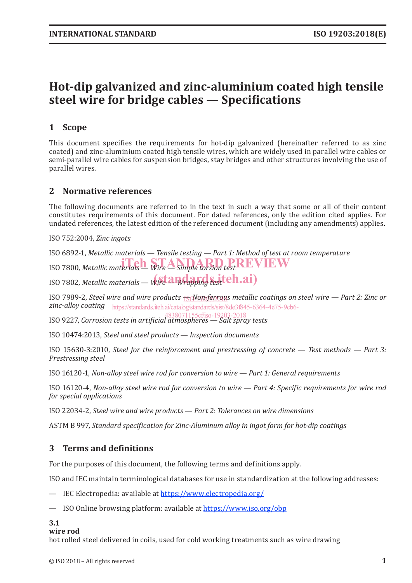### **Hot-dip galvanized and zinc-aluminium coated high tensile steel wire for bridge cables — Specifications**

#### **1 Scope**

This document specifies the requirements for hot-dip galvanized (hereinafter referred to as zinc coated) and zinc-aluminium coated high tensile wires, which are widely used in parallel wire cables or semi-parallel wire cables for suspension bridges, stay bridges and other structures involving the use of parallel wires.

#### **2 Normative references**

The following documents are referred to in the text in such a way that some or all of their content constitutes requirements of this document. For dated references, only the edition cited applies. For undated references, the latest edition of the referenced document (including any amendments) applies.

ISO 752:2004, *Zinc ingots*

ISO 6892-1, *Metallic materials — Tensile testing — Part 1: Method of test at room temperature* ISO 7800, *Metallic materials* **h** Wire Asimple torsion test **REVIEW** ISO 7802, *Metallic materials* — Wire<sup>t</sup> a Wrapping test teh.ai)

ISO 7989-2, Steel wire and wire products <sub>ISO</sub>Non-ferrous metallic coatings on steel wire — Part 2: Zinc or zinc-alloy coating https://standards.iteh.ai/catalog/standards/sist/8de3f845-6364-4e75-9cb6-

ISO 9227, *Corrosion tests in artificial atmospheres — Salt spray tests* 4838071155cf/iso-19203-2018

ISO 10474:2013, *Steel and steel products — Inspection documents*

ISO 15630-3:2010, *Steel for the reinforcement and prestressing of concrete — Test methods — Part 3: Prestressing steel*

ISO 16120-1, *Non-alloy steel wire rod for conversion to wire — Part 1: General requirements*

ISO 16120-4, *Non-alloy steel wire rod for conversion to wire — Part 4: Specific requirements for wire rod for special applications*

ISO 22034-2, *Steel wire and wire products — Part 2: Tolerances on wire dimensions*

ASTM B 997, *Standard specification for Zinc-Aluminum alloy in ingot form for hot-dip coatings*

#### **3 Terms and definitions**

For the purposes of this document, the following terms and definitions apply.

ISO and IEC maintain terminological databases for use in standardization at the following addresses:

- IEC Electropedia: available at https://www.electropedia.org/
- ISO Online browsing platform: available at https://www.iso.org/obp

**3.1**

**wire rod**

hot rolled steel delivered in coils, used for cold working treatments such as wire drawing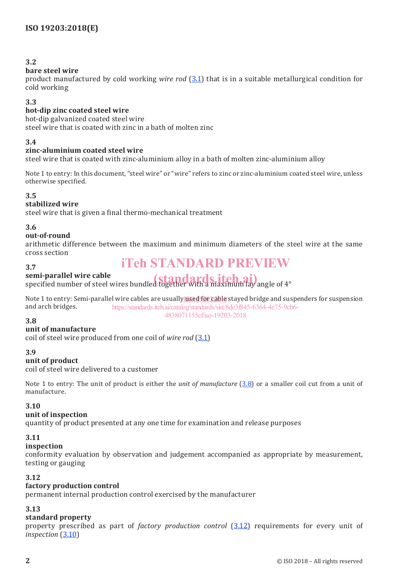#### **3.2**

#### **bare steel wire**

product manufactured by cold working *wire rod* (3.1) that is in a suitable metallurgical condition for cold working

#### **3.3**

#### **hot-dip zinc coated steel wire**

hot-dip galvanized coated steel wire steel wire that is coated with zinc in a bath of molten zinc

#### **3.4**

#### **zinc-aluminium coated steel wire**

steel wire that is coated with zinc-aluminium alloy in a bath of molten zinc-aluminium alloy

Note 1 to entry: In this document, "steel wire" or "wire" refers to zinc or zinc-aluminium coated steel wire, unless otherwise specified.

#### **3.5**

#### **stabilized wire**

steel wire that is given a final thermo-mechanical treatment

#### **3.6**

**3.7**

#### **out-of-round**

arithmetic difference between the maximum and minimum diameters of the steel wire at the same cross section

### iTeh STANDARD PREVIEW

#### **semi-parallel wire cable**

semi-parallel wire cable<br>specified number of steel wires bundled together with a maximum lay angle of 4°

Note 1 to entry: Semi-parallel wire cables are usually **Red for cable** stayed bridge and suspenders for suspension and arch bridges. https://standards.iteh.ai/catalog/standards/sist/8de3f845-6364-4e75-9cb6- 4838071155cf/iso-19203-2018

#### **3.8**

#### **unit of manufacture**

coil of steel wire produced from one coil of *wire rod* (3.1)

#### **3.9**

#### **unit of product**

coil of steel wire delivered to a customer

Note 1 to entry: The unit of product is either the *unit of manufacture* (3.8) or a smaller coil cut from a unit of manufacture.

#### **3.10**

#### **unit of inspection**

quantity of product presented at any one time for examination and release purposes

#### **3.11**

#### **inspection**

conformity evaluation by observation and judgement accompanied as appropriate by measurement, testing or gauging

#### **3.12**

#### **factory production control**

permanent internal production control exercised by the manufacturer

#### **3.13**

#### **standard property**

property prescribed as part of *factory production control* (3.12) requirements for every unit of *inspection* (3.10)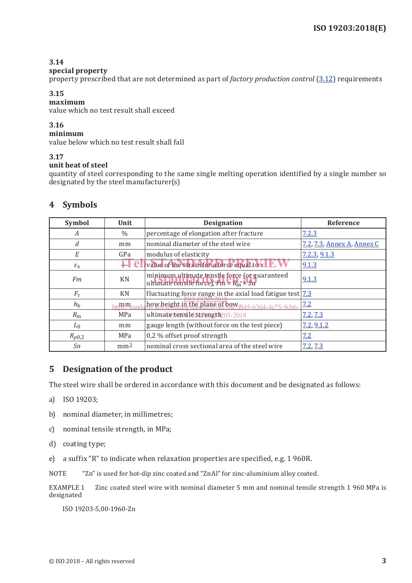#### **3.14**

#### **special property**

property prescribed that are not determined as part of *factory production control* (3.12) requirements

#### **3.15**

#### **maximum**

value which no test result shall exceed

#### **3.16**

#### **minimum**

value below which no test result shall fall

#### **3.17**

#### **unit heat of steel**

quantity of steel corresponding to the same single melting operation identified by a single number so designated by the steel manufacturer(s)

#### **4 Symbols**

| <b>Symbol</b>         | Unit            | <b>Designation</b>                                                                             | Reference                         |  |
|-----------------------|-----------------|------------------------------------------------------------------------------------------------|-----------------------------------|--|
| A                     | $\%$            | percentage of elongation after fracture                                                        | 7.2.3                             |  |
| d                     | mm              | nominal diameter of the steel wire                                                             | <u>7.2, 7.3, Annex A, Annex C</u> |  |
| E                     | GPa             | modulus of elasticity                                                                          | 7.2.3, 9.1.3                      |  |
| $\varepsilon_{\rm x}$ | Ĥ               | value of the strain for a force equal to x LL V                                                | 9.1.3                             |  |
| Fm                    | <b>KN</b>       | minimum ultimate tensile force (or guaranteed<br>ultimate tensile force), $Fm = R_m \times Sn$ | 9.1.3                             |  |
| $F_r$                 | <b>KN</b>       | fluctuating force range in the axial load fatigue test $\sqrt{7.3}$                            |                                   |  |
| $h_{\rm b}$           | mm              | how height in the plane of bow R45.                                                            | <u>7.2</u>                        |  |
| $R_{\rm m}$           | MPa             | ultimate tensile strength 03-2018                                                              | 7.2, 7.3                          |  |
| $L_0$                 | mm              | gauge length (without force on the test piece)                                                 | 7.2, 9.1.2                        |  |
| $R_{p0,2}$            | MPa             | 0,2 % offset proof strength                                                                    | 7.2                               |  |
| Sn                    | mm <sup>2</sup> | nominal cross sectional area of the steel wire                                                 | 7.2, 7.3                          |  |

#### **5 Designation of the product**

The steel wire shall be ordered in accordance with this document and be designated as follows:

- a) ISO 19203;
- b) nominal diameter, in millimetres;
- c) nominal tensile strength, in MPa;
- d) coating type;
- e) a suffix "R" to indicate when relaxation properties are specified, e.g. 1 960R.

NOTE "Zn" is used for hot-dip zinc coated and "ZnAl" for zinc-aluminium alloy coated.

EXAMPLE 1 Zinc coated steel wire with nominal diameter 5 mm and nominal tensile strength 1 960 MPa is designated

ISO 19203-5,00-1960-Zn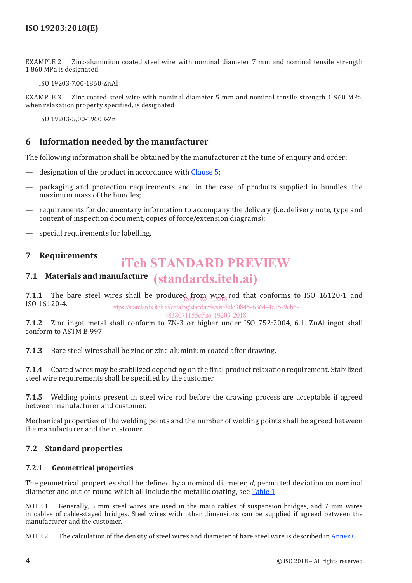EXAMPLE 2 Zinc-aluminium coated steel wire with nominal diameter 7 mm and nominal tensile strength 1 860 MPa is designated

ISO 19203-7,00-1860-ZnAl

EXAMPLE 3 Zinc coated steel wire with nominal diameter 5 mm and nominal tensile strength 1 960 MPa, when relaxation property specified, is designated

ISO 19203-5,00-1960R-Zn

#### **6 Information needed by the manufacturer**

The following information shall be obtained by the manufacturer at the time of enquiry and order:

- designation of the product in accordance with Clause 5;
- packaging and protection requirements and, in the case of products supplied in bundles, the maximum mass of the bundles;
- requirements for documentary information to accompany the delivery (i.e. delivery note, type and content of inspection document, copies of force/extension diagrams);
- special requirements for labelling.

#### **7 Requirements** iTeh STANDARD PREVIEW

# **7.1 Materials and manufacture** (standards.iteh.ai)

**7.1.1** The bare steel wires shall be produced from wire rod that conforms to ISO 16120-1 and ISO 16120-1 ISO 16120-4. https://standards.iteh.ai/catalog/standards/sist/8de3f845-6364-4e75-9cb6-

4838071155cf/iso-19203-2018

**7.1.2** Zinc ingot metal shall conform to ZN-3 or higher under ISO 752:2004, 6.1. ZnAl ingot shall conform to ASTM B 997.

**7.1.3** Bare steel wires shall be zinc or zinc-aluminium coated after drawing.

**7.1.4** Coated wires may be stabilized depending on the final product relaxation requirement. Stabilized steel wire requirements shall be specified by the customer.

**7.1.5** Welding points present in steel wire rod before the drawing process are acceptable if agreed between manufacturer and customer.

Mechanical properties of the welding points and the number of welding points shall be agreed between the manufacturer and the customer.

#### **7.2 Standard properties**

#### **7.2.1 Geometrical properties**

The geometrical properties shall be defined by a nominal diameter, *d*, permitted deviation on nominal diameter and out-of-round which all include the metallic coating, see Table 1.

NOTE 1 Generally, 5 mm steel wires are used in the main cables of suspension bridges, and 7 mm wires in cables of cable-stayed bridges. Steel wires with other dimensions can be supplied if agreed between the manufacturer and the customer.

NOTE 2 The calculation of the density of steel wires and diameter of bare steel wire is described in Annex C.